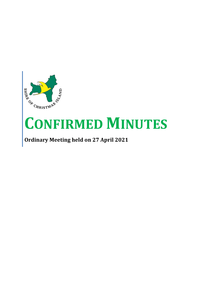

# **CONFIRMED MINUTES**

**Ordinary Meeting held on 27 April 2021**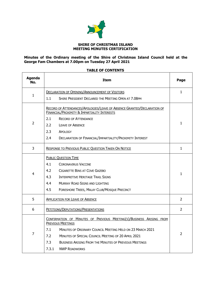

#### **SHIRE OF CHRISTMAS ISLAND MEETING MINUTES CERTIFICATION**

# **Minutes of the Ordinary meeting of the Shire of Christmas Island Council held at the George Fam Chambers at 7.00pm on Tuesday 27 April 2021**

# **Agenda No. Item Page** 1 DECLARATION OF OPENING/A[NNOUNCEMENT OF](#page-3-0) VISITORS 1.1 SHIRE PRESIDENT DECLARED THE MEETING OPEN AT 7.08PM [1](#page-3-0)  $\overline{2}$ RECORD OF ATTENDANCES/APOLOGIES/LEAVE OF ABSENCE GRANTED/D[ECLARATION OF](#page-3-1)  FINANCIAL/PROXIMITY & I[MPARTIALITY](#page-3-1) INTERESTS 2.1 RECORD OF ATTENDANCE 2.2 LEAVE OF ABSENCE 2.3 APOLOGY 2.4 DECLARATION OF FINANCIAL/IMPARTIALITY/PROXIMITY INTEREST [1](#page-3-1) 3 R[ESPONSE TO](#page-3-2) PREVIOUS PUBLIC QUESTION TAKEN ON NOTICE [1](#page-3-2) 4 PUBLIC Q[UESTION](#page-3-3) TIME 4.1 CORONAVIRUS VACCINE 4.2 CIGARETTE BINS AT COVE GAZEBO 4.3 INTERPRETIVE HERITAGE TRAIL SIGNS 4.4 MURRAY ROAD SIGNS AND LIGHTING 4.5 FORESHORE TREES, MALAY CLUB/MOSQUE PRECINCT [1](#page-3-3) 5 A[PPLICATION FOR](#page-4-0) LEAVE OF ABSENCE [2](#page-4-0) 6 PETITIONS/DEPUTATIONS/P[RESENTATIONS](#page-4-1) [2](#page-4-1) 7 C[ONFIRMATION OF](#page-4-2) MINUTES OF PREVIOUS MEETING(S)/BUSINESS ARISING FROM P[REVIOUS](#page-4-2) MEETINGS 7.1 MINUTES OF ORDINARY COUNCIL MEETING HELD ON 23 MARCH 2021 7.2 MINUTES OF SPECIAL COUNCIL MEETING OF 20 APRIL 2021 7.3 BUSINESS ARISING FROM THE MINUTES OF PREVIOUS MEETINGS 7.3.1 NWP ROADWORKS [2](#page-4-2)

#### **TABLE OF CONTENTS**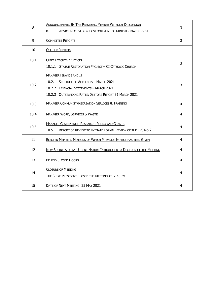| 8    | ANNOUNCEMENTS BY THE PRESIDING MEMBER WITHOUT DISCUSSION<br>8.1<br><b>ADVICE RECEIVED ON POSTPONEMENT OF MINISTER MARINO VISIT</b>                                             | 3              |
|------|--------------------------------------------------------------------------------------------------------------------------------------------------------------------------------|----------------|
| 9    | <b>COMMITTEE REPORTS</b>                                                                                                                                                       | 3              |
| 10   | <b>OFFICER REPORTS</b>                                                                                                                                                         |                |
| 10.1 | <b>CHIEF EXECUTIVE OFFICER</b><br>10.1.1 STATUE RESTORATION PROJECT - CI CATHOLIC CHURCH                                                                                       | 3              |
| 10.2 | <b>MANAGER FINANCE AND IT</b><br>10.2.1 SCHEDULE OF ACCOUNTS - MARCH 2021<br>10.2.2 FINANCIAL STATEMENTS - MARCH 2021<br>10.2.3 OUTSTANDING RATES/DEBTORS REPORT 31 MARCH 2021 | 3              |
| 10.3 | <b>MANAGER COMMUNITY/RECREATION SERVICES &amp; TRAINING</b>                                                                                                                    | 4              |
| 10.4 | <b>MANAGER WORK, SERVICES &amp; WASTE</b>                                                                                                                                      | 4              |
| 10.5 | <b>MANAGER GOVERNANCE, RESEARCH, POLICY AND GRANTS</b><br>10.5.1 REPORT OF REVIEW TO INITIATE FORMAL REVIEW OF THE LPS NO.2                                                    | 4              |
| 11   | ELECTED MEMBERS MOTIONS OF WHICH PREVIOUS NOTICE HAS BEEN GIVEN                                                                                                                | 4              |
| 12   | NEW BUSINESS OF AN URGENT NATURE INTRODUCED BY DECISION OF THE MEETING                                                                                                         | $\overline{4}$ |
| 13   | <b>BEHIND CLOSED DOORS</b>                                                                                                                                                     | 4              |
| 14   | <b>CLOSURE OF MEETING</b><br>THE SHIRE PRESIDENT CLOSED THE MEETING AT 7.45PM                                                                                                  |                |
| 15   | DATE OF NEXT MEETING: 25 MAY 2021                                                                                                                                              | 4              |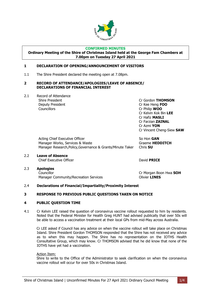

# **CONFIRMED MINUTES**

#### **Ordinary Meeting of the Shire of Christmas Island held at the George Fam Chambers at 7.00pm on Tuesday 27 April 2021**

# <span id="page-3-0"></span>**1 DECLARATION OF OPENING/ANNOUNCEMENT OF VISITORS**

1.1 The Shire President declared the meeting open at 7.08pm.

#### <span id="page-3-1"></span>**2 RECORD OF ATTENDANCE/APOLOGIES/LEAVE OF ABSENCE/ DECLARATIONS OF FINANCIAL INTEREST**

2.1 Record of Attendance Deputy President Cr Kee Heng **FOO** Councillors Cr Philip **WOO**

Shire President Cr Gordon **THOMSON** Cr Kelvin Kok Bin **LEE** Cr Hafiz **MASLI** Cr Farzian **ZAINAL** Cr Azmi **YON** Cr Vincent Cheng-Siew **SAW**

Acting Chief Executive Officer So Hon **GAN** Manager Works, Services & Waste **Graeme HEDDITCH** Manager Research,Policy,Governance & Grants/Minute Taker Chris **SU**

2.2 **Leave of Absence** Chief Executive Officer David **PRICE**

2.3 **Apologies** Councillor Cr Morgan Boon Hwa **SOH** Manager Community/Recreation Services **Community/Recreation Services** 

# 2.4 **Declarations of Financial/Impartiality/Proximity Interest**

# <span id="page-3-2"></span>**3 RESPONSE TO PREVIOUS PUBLIC QUESTIONS TAKEN ON NOTICE**

# <span id="page-3-3"></span>**4 PUBLIC QUESTION TIME**

4.1 Cr Kelvin LEE raised the question of coronavirus vaccine rollout requested to him by residents. Noted that the Federal Minister for Health Greg HUNT had advised publically that over 50s will be able to access a vaccination treatment at their local GPs from mid-May across Australia.

Cr LEE asked if Council has any advice on when the vaccine rollout will take place on Christmas Island. Shire President Gordon THOMSON responded that the Shire has not received any advice as to when this may happen. The Shire has no representation on the IOTHS Health Consultative Group, which may know. Cr THOMSON advised that he did know that none of the IOTHS have yet had a vaccination.

# Action Item:

Shire to write to the Office of the Administrator to seek clarification on when the coronavirus vaccine rollout will occur for over 50s in Christmas Island.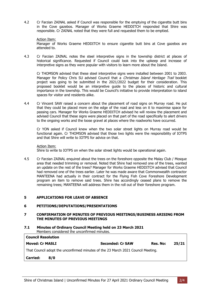4.2 Cr Farzian ZAINAL asked if Council was responsible for the emptying of the cigarette butt bins in the Cove gazebos. Manager of Works Graeme HEDDITCH responded that Shire was responsible. Cr ZAINAL noted that they were full and requested them to be emptied.

# Action Item:

Manager of Works Graeme HEDDITCH to ensure cigarette butt bins at Cove gazebos are attended to.

4.3 Cr Farzian ZAINAL notes the steel interpretive signs in the township district at places of historical significance. Requested if Council could look into the upkeep and increase of interpretive signs as they were popular with visitors to learn more about the Island.

Cr THOMSON advised that these steel interpretive signs were installed between 2001 to 2003. Manager for Policy Chris SU advised Council that a Christmas Island Heritage Trail booklet project was going to be submitted in the 2021/2022 budget for their consideration. This proposed booklet would be an interpretive guide to the places of historic and cultural importance in the township. This would be Council's initiative to provide interpretation to island spaces for visitor and residents alike.

4.4 Cr Vincent SAW raised a concern about the placement of road signs on Murray road. He put that they could be placed more on the edge of the road and less on it to maximise space for passing cars. Manager for Works Graeme HEDDITCH advised he will review the placement and advised Council that these signs were placed on that part of the road specifically to alert drivers to the ongoing works and the loose gravel at places where the roadworks have occurred.

Cr YON asked if Council knew when the two solar street lights on Murray road would be functional again. Cr THOMSON advised that those two lights were the responsibility of IOTPS and that Shire will write to IOTPS for advice on that.

#### Action Item:

Shire to write to IOTPS on when the solar street lights would be operational again.

4.5 Cr Farzian ZAINAL enquired about the trees on the foreshore opposite the Malay Club / Mosque area that needed trimming or removal. Noted that Shire had removed one of the trees, wanted an update on the rest of the trees? Manager for Works Graeme HEDDITCH advised that Council had removed one of the trees earlier. Later he was made aware that Commonwealth contractor MANTEENA had actually in their contract for the Flying Fish Cove Foreshore Development program an item to remove said trees. Shire has accordingly ceased plans to remove the remaining trees; MANTEENA will address them in the roll out of their foreshore program.

# <span id="page-4-0"></span>**5 APPLICATIONS FOR LEAVE OF ABSENCE**

# <span id="page-4-1"></span>**6 PETITIONS/DEPUTATIONS/PRESENTATIONS**

# <span id="page-4-2"></span>**7 CONFIRMATION OF MINUTES OF PREVIOUS MEETINGS/BUSINESS ARISING FROM THE MINUTES OF PREVIOUS MEETINGS**

**7.1 Minutes of Ordinary Council Meeting held on 23 March 2021** Members considered the unconfirmed minutes.

| <b>Council Resolution</b>                                                        |                         |          |       |  |  |
|----------------------------------------------------------------------------------|-------------------------|----------|-------|--|--|
| <b>Moved: Cr MASLI</b>                                                           | <b>Seconded: Cr SAW</b> | Res. No: | 25/21 |  |  |
| That Council adopt the unconfirmed minutes of the 23 March 2021 Council Meeting. |                         |          |       |  |  |
| <b>Carried:</b><br>8/0                                                           |                         |          |       |  |  |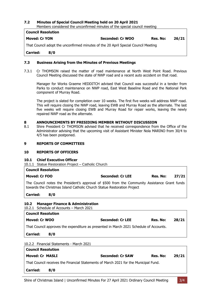# **7.2 Minutes of Special Council Meeting held on 20 April 2021**

Members considered the unconfirmed minutes of the special council meeting

**Council Resolution**

# **Moved: Cr YON Seconded: Cr WOO Res. No: 26/21**

That Council adopt the unconfirmed minutes of the 20 April Special Council Meeting

**Carried: 8/0**

# **7.3 Business Arising from the Minutes of Previous Meetings**

7.3.1 Cr THOMSON raised the matter of road maintenance at North West Point Road. Previous Council Meeting discussed the state of NWP road and a recent auto accident on that road.

Manager for Works Graeme HEDDITCH advised that Council was successful in a tender from Parks to conduct maintenance on NWP road, East West Baseline Road and the National Park component of Murray Road.

The project is slated for completion over 10 weeks. The first five weeks will address NWP road. This will require closing the NWP road, leaving EWB and Murray Road as the alternate. The last five weeks will require closing EWB and Murray Road for repair works, leaving the newly repaired NWP road as the alternate.

# <span id="page-5-0"></span>**8 ANNOUNCEMENTS BY PRESIDING MEMBER WITHOUT DISCUSSION**

8.1 Shire President Cr THOMSON advised that he received correspondence from the Office of the Administrator advising that the upcoming visit of Assistant Minister Nola MARINO from 30/4 to 4/5 has been postponed.

# <span id="page-5-1"></span>**9 REPORTS OF COMMITTEES**

# **10 REPORTS OF OFFICERS**

# <span id="page-5-2"></span>**10.1 Chief Executive Officer**

10.1.1 Statue Restoration Project – Catholic Church

# **Council Resolution Moved: Cr FOO Seconded: Cr LEE Res. No: 27/21** The Council notes the President's approval of \$500 from the Community Assistance Grant funds towards the Christmas Island Catholic Church Statue Restoration Project **Carried: 8/0**

# <span id="page-5-3"></span>**10.2 Manager Finance & Administration**

10.2.1 Schedule of Accounts – March 2021

| <b>Council Resolution</b>                                                              |                         |          |       |  |
|----------------------------------------------------------------------------------------|-------------------------|----------|-------|--|
| Moved: Cr WOO                                                                          | <b>Seconded: Cr LEE</b> | Res. No: | 28/21 |  |
| That Council approves the expenditure as presented in March 2021 Schedule of Accounts. |                         |          |       |  |
| <b>Carried:</b><br>8/0                                                                 |                         |          |       |  |
| 10.2.2 Financial Statements - March 2021                                               |                         |          |       |  |
| <b>Council Resolution</b>                                                              |                         |          |       |  |
| <b>Moved: Cr MASLI</b>                                                                 | <b>Seconded: Cr SAW</b> | Res. No: | 29/21 |  |
| That Council receives the Financial Statements of March 2021 for the Municipal Fund.   |                         |          |       |  |

# **Carried: 8/0**